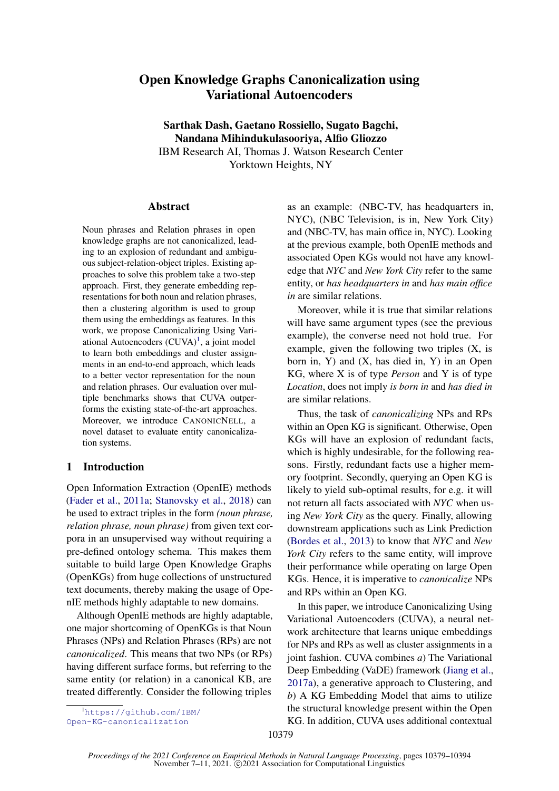# <span id="page-0-0"></span>Open Knowledge Graphs Canonicalization using Variational Autoencoders

Sarthak Dash, Gaetano Rossiello, Sugato Bagchi, Nandana Mihindukulasooriya, Alfio Gliozzo IBM Research AI, Thomas J. Watson Research Center Yorktown Heights, NY

#### Abstract

Noun phrases and Relation phrases in open knowledge graphs are not canonicalized, leading to an explosion of redundant and ambiguous subject-relation-object triples. Existing approaches to solve this problem take a two-step approach. First, they generate embedding representations for both noun and relation phrases, then a clustering algorithm is used to group them using the embeddings as features. In this work, we propose Canonicalizing Using Variational Autoencoders (CUVA)<sup>1</sup>, a joint model to learn both embeddings and cluster assignments in an end-to-end approach, which leads to a better vector representation for the noun and relation phrases. Our evaluation over multiple benchmarks shows that CUVA outperforms the existing state-of-the-art approaches. Moreover, we introduce CANONICNELL, a novel dataset to evaluate entity canonicalization systems.

# 1 Introduction

Open Information Extraction (OpenIE) methods [\(Fader et al.,](#page-8-0) [2011a;](#page-8-0) [Stanovsky et al.,](#page-9-0) [2018\)](#page-9-0) can be used to extract triples in the form *(noun phrase, relation phrase, noun phrase)* from given text corpora in an unsupervised way without requiring a pre-defined ontology schema. This makes them suitable to build large Open Knowledge Graphs (OpenKGs) from huge collections of unstructured text documents, thereby making the usage of OpenIE methods highly adaptable to new domains.

Although OpenIE methods are highly adaptable, one major shortcoming of OpenKGs is that Noun Phrases (NPs) and Relation Phrases (RPs) are not *canonicalized*. This means that two NPs (or RPs) having different surface forms, but referring to the same entity (or relation) in a canonical KB, are treated differently. Consider the following triples

<sup>1</sup>[https://github.com/IBM/](https://github.com/IBM/Open-KG-canonicalization) [Open-KG-canonicalization](https://github.com/IBM/Open-KG-canonicalization)

as an example: (NBC-TV, has headquarters in, NYC), (NBC Television, is in, New York City) and (NBC-TV, has main office in, NYC). Looking at the previous example, both OpenIE methods and associated Open KGs would not have any knowledge that *NYC* and *New York City* refer to the same entity, or *has headquarters in* and *has main office in* are similar relations.

Moreover, while it is true that similar relations will have same argument types (see the previous example), the converse need not hold true. For example, given the following two triples (X, is born in, Y) and (X, has died in, Y) in an Open KG, where X is of type *Person* and Y is of type *Location*, does not imply *is born in* and *has died in* are similar relations.

Thus, the task of *canonicalizing* NPs and RPs within an Open KG is significant. Otherwise, Open KGs will have an explosion of redundant facts, which is highly undesirable, for the following reasons. Firstly, redundant facts use a higher memory footprint. Secondly, querying an Open KG is likely to yield sub-optimal results, for e.g. it will not return all facts associated with *NYC* when using *New York City* as the query. Finally, allowing downstream applications such as Link Prediction [\(Bordes et al.,](#page-8-1) [2013\)](#page-8-1) to know that *NYC* and *New York City* refers to the same entity, will improve their performance while operating on large Open KGs. Hence, it is imperative to *canonicalize* NPs and RPs within an Open KG.

In this paper, we introduce Canonicalizing Using Variational Autoencoders (CUVA), a neural network architecture that learns unique embeddings for NPs and RPs as well as cluster assignments in a joint fashion. CUVA combines *a*) The Variational Deep Embedding (VaDE) framework [\(Jiang et al.,](#page-8-2) [2017a\)](#page-8-2), a generative approach to Clustering, and *b*) A KG Embedding Model that aims to utilize the structural knowledge present within the Open KG. In addition, CUVA uses additional contextual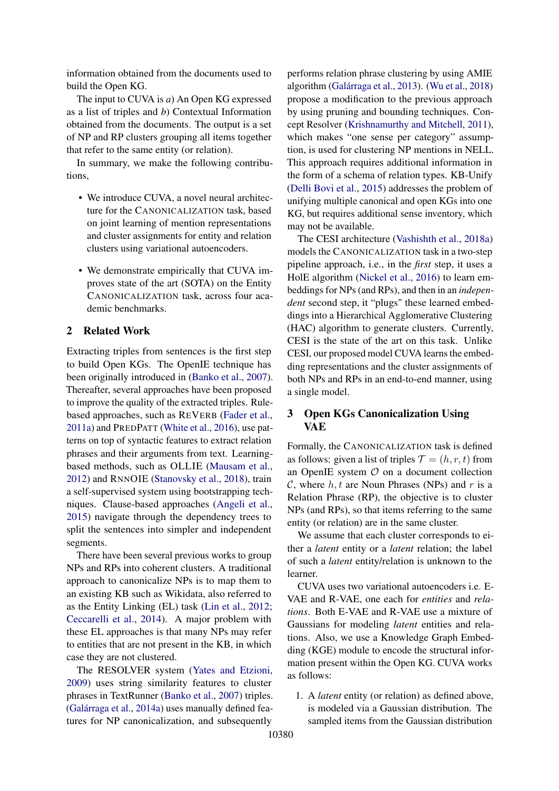information obtained from the documents used to build the Open KG.

The input to CUVA is *a*) An Open KG expressed as a list of triples and *b*) Contextual Information obtained from the documents. The output is a set of NP and RP clusters grouping all items together that refer to the same entity (or relation).

In summary, we make the following contributions,

- We introduce CUVA, a novel neural architecture for the CANONICALIZATION task, based on joint learning of mention representations and cluster assignments for entity and relation clusters using variational autoencoders.
- We demonstrate empirically that CUVA improves state of the art (SOTA) on the Entity CANONICALIZATION task, across four academic benchmarks.

# 2 Related Work

Extracting triples from sentences is the first step to build Open KGs. The OpenIE technique has been originally introduced in [\(Banko et al.,](#page-8-3) [2007\)](#page-8-3). Thereafter, several approaches have been proposed to improve the quality of the extracted triples. Rulebased approaches, such as REVERB [\(Fader et al.,](#page-8-0) [2011a\)](#page-8-0) and PREDPATT [\(White et al.,](#page-10-0) [2016\)](#page-10-0), use patterns on top of syntactic features to extract relation phrases and their arguments from text. Learningbased methods, such as OLLIE [\(Mausam et al.,](#page-9-1) [2012\)](#page-9-1) and RNNOIE [\(Stanovsky et al.,](#page-9-0) [2018\)](#page-9-0), train a self-supervised system using bootstrapping techniques. Clause-based approaches [\(Angeli et al.,](#page-8-4) [2015\)](#page-8-4) navigate through the dependency trees to split the sentences into simpler and independent segments.

There have been several previous works to group NPs and RPs into coherent clusters. A traditional approach to canonicalize NPs is to map them to an existing KB such as Wikidata, also referred to as the Entity Linking (EL) task [\(Lin et al.,](#page-9-2) [2012;](#page-9-2) [Ceccarelli et al.,](#page-8-5) [2014\)](#page-8-5). A major problem with these EL approaches is that many NPs may refer to entities that are not present in the KB, in which case they are not clustered.

The RESOLVER system [\(Yates and Etzioni,](#page-10-1) [2009\)](#page-10-1) uses string similarity features to cluster phrases in TextRunner [\(Banko et al.,](#page-8-3) [2007\)](#page-8-3) triples. [\(Galárraga et al.,](#page-8-6) [2014a\)](#page-8-6) uses manually defined features for NP canonicalization, and subsequently

performs relation phrase clustering by using AMIE algorithm [\(Galárraga et al.,](#page-8-7) [2013\)](#page-8-7). [\(Wu et al.,](#page-10-2) [2018\)](#page-10-2) propose a modification to the previous approach by using pruning and bounding techniques. Concept Resolver [\(Krishnamurthy and Mitchell,](#page-9-3) [2011\)](#page-9-3), which makes "one sense per category" assumption, is used for clustering NP mentions in NELL. This approach requires additional information in the form of a schema of relation types. KB-Unify [\(Delli Bovi et al.,](#page-8-8) [2015\)](#page-8-8) addresses the problem of unifying multiple canonical and open KGs into one KG, but requires additional sense inventory, which may not be available.

The CESI architecture [\(Vashishth et al.,](#page-10-3) [2018a\)](#page-10-3) models the CANONICALIZATION task in a two-step pipeline approach, i.e., in the *first* step, it uses a HolE algorithm [\(Nickel et al.,](#page-9-4) [2016\)](#page-9-4) to learn embeddings for NPs (and RPs), and then in an *independent* second step, it "plugs" these learned embeddings into a Hierarchical Agglomerative Clustering (HAC) algorithm to generate clusters. Currently, CESI is the state of the art on this task. Unlike CESI, our proposed model CUVA learns the embedding representations and the cluster assignments of both NPs and RPs in an end-to-end manner, using a single model.

# 3 Open KGs Canonicalization Using **VAE**

Formally, the CANONICALIZATION task is defined as follows: given a list of triples  $\mathcal{T} = (h, r, t)$  from an OpenIE system  $\mathcal O$  on a document collection C, where  $h, t$  are Noun Phrases (NPs) and r is a Relation Phrase (RP), the objective is to cluster NPs (and RPs), so that items referring to the same entity (or relation) are in the same cluster.

We assume that each cluster corresponds to either a *latent* entity or a *latent* relation; the label of such a *latent* entity/relation is unknown to the learner.

CUVA uses two variational autoencoders i.e. E-VAE and R-VAE, one each for *entities* and *relations*. Both E-VAE and R-VAE use a mixture of Gaussians for modeling *latent* entities and relations. Also, we use a Knowledge Graph Embedding (KGE) module to encode the structural information present within the Open KG. CUVA works as follows:

1. A *latent* entity (or relation) as defined above, is modeled via a Gaussian distribution. The sampled items from the Gaussian distribution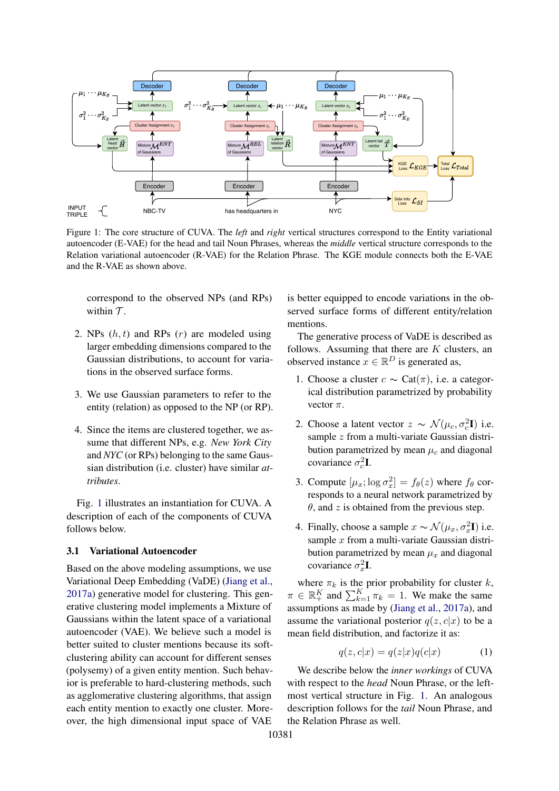<span id="page-2-0"></span>

Figure 1: The core structure of CUVA. The *left* and *right* vertical structures correspond to the Entity variational autoencoder (E-VAE) for the head and tail Noun Phrases, whereas the *middle* vertical structure corresponds to the Relation variational autoencoder (R-VAE) for the Relation Phrase. The KGE module connects both the E-VAE and the R-VAE as shown above.

correspond to the observed NPs (and RPs) within  $\mathcal T$ .

- 2. NPs  $(h, t)$  and RPs  $(r)$  are modeled using larger embedding dimensions compared to the Gaussian distributions, to account for variations in the observed surface forms.
- 3. We use Gaussian parameters to refer to the entity (relation) as opposed to the NP (or RP).
- 4. Since the items are clustered together, we assume that different NPs, e.g. *New York City* and *NYC* (or RPs) belonging to the same Gaussian distribution (i.e. cluster) have similar *attributes*.

Fig. [1](#page-2-0) illustrates an instantiation for CUVA. A description of each of the components of CUVA follows below.

### 3.1 Variational Autoencoder

Based on the above modeling assumptions, we use Variational Deep Embedding (VaDE) [\(Jiang et al.,](#page-8-2) [2017a\)](#page-8-2) generative model for clustering. This generative clustering model implements a Mixture of Gaussians within the latent space of a variational autoencoder (VAE). We believe such a model is better suited to cluster mentions because its softclustering ability can account for different senses (polysemy) of a given entity mention. Such behavior is preferable to hard-clustering methods, such as agglomerative clustering algorithms, that assign each entity mention to exactly one cluster. Moreover, the high dimensional input space of VAE

is better equipped to encode variations in the observed surface forms of different entity/relation mentions.

The generative process of VaDE is described as follows. Assuming that there are  $K$  clusters, an observed instance  $x \in \mathbb{R}^D$  is generated as,

- 1. Choose a cluster  $c \sim \text{Cat}(\pi)$ , i.e. a categorical distribution parametrized by probability vector  $\pi$ .
- 2. Choose a latent vector  $z \sim \mathcal{N}(\mu_c, \sigma_c^2 \mathbf{I})$  i.e. sample z from a multi-variate Gaussian distribution parametrized by mean  $\mu_c$  and diagonal covariance  $\sigma_c^2 \mathbf{I}$ .
- 3. Compute  $[\mu_x; \log \sigma_x^2] = f_\theta(z)$  where  $f_\theta$  corresponds to a neural network parametrized by  $\theta$ , and z is obtained from the previous step.
- 4. Finally, choose a sample  $x \sim \mathcal{N}(\mu_x, \sigma_x^2 \mathbf{I})$  i.e. sample  $x$  from a multi-variate Gaussian distribution parametrized by mean  $\mu_x$  and diagonal covariance  $\sigma_x^2 \mathbf{I}$ .

where  $\pi_k$  is the prior probability for cluster k,  $\pi \in \mathbb{R}_+^K$  and  $\sum_{k=1}^K \pi_k = 1$ . We make the same assumptions as made by [\(Jiang et al.,](#page-8-2) [2017a\)](#page-8-2), and assume the variational posterior  $q(z, c|x)$  to be a mean field distribution, and factorize it as:

$$
q(z, c|x) = q(z|x)q(c|x)
$$
 (1)

We describe below the *inner workings* of CUVA with respect to the *head* Noun Phrase, or the leftmost vertical structure in Fig. [1.](#page-2-0) An analogous description follows for the *tail* Noun Phrase, and the Relation Phrase as well.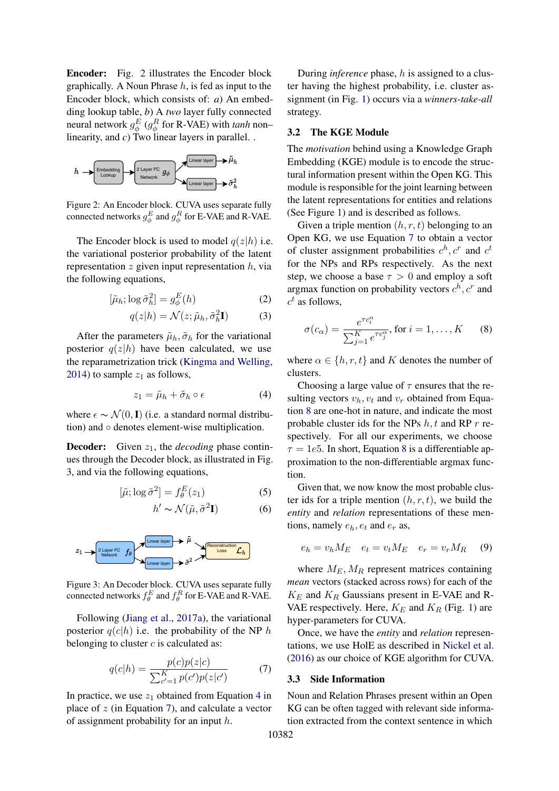Encoder: Fig. [2](#page-3-0) illustrates the Encoder block graphically. A Noun Phrase  $h$ , is fed as input to the Encoder block, which consists of: *a*) An embedding lookup table, *b*) A *two* layer fully connected neural network  $g_{\phi}^{E}$  ( $g_{\phi}^{R}$  for R-VAE) with *tanh* non– linearity, and *c*) Two linear layers in parallel. .

<span id="page-3-0"></span>

Figure 2: An Encoder block. CUVA uses separate fully connected networks  $g_{\phi}^{E}$  and  $g_{\phi}^{R}$  for E-VAE and R-VAE.

The Encoder block is used to model  $q(z|h)$  i.e. the variational posterior probability of the latent representation  $z$  given input representation  $h$ , via the following equations,

$$
[\tilde{\mu}_h; \log \tilde{\sigma}_h^2] = g_{\phi}^E(h) \tag{2}
$$

$$
q(z|h) = \mathcal{N}(z; \tilde{\mu}_h, \tilde{\sigma}_h^2 \mathbf{I})
$$
 (3)

After the parameters  $\tilde{\mu}_h$ ,  $\tilde{\sigma}_h$  for the variational posterior  $q(z|h)$  have been calculated, we use the reparametrization trick [\(Kingma and Welling,](#page-9-5) [2014\)](#page-9-5) to sample  $z_1$  as follows,

<span id="page-3-2"></span>
$$
z_1 = \tilde{\mu}_h + \tilde{\sigma}_h \circ \epsilon \tag{4}
$$

where  $\epsilon \sim \mathcal{N}(0, I)$  (i.e. a standard normal distribution) and ◦ denotes element-wise multiplication.

**Decoder:** Given  $z_1$ , the *decoding* phase continues through the Decoder block, as illustrated in Fig. [3,](#page-3-1) and via the following equations,

$$
[\tilde{\mu}; \log \tilde{\sigma}^2] = f_{\theta}^E(z_1)
$$
 (5)

$$
h' \sim \mathcal{N}(\tilde{\mu}, \tilde{\sigma}^2 \mathbf{I})
$$
 (6)

<span id="page-3-1"></span>

Figure 3: An Decoder block. CUVA uses separate fully connected networks  $f_{\theta}^{E}$  and  $f_{\theta}^{R}$  for E-VAE and R-VAE.

Following [\(Jiang et al.,](#page-8-2) [2017a\)](#page-8-2), the variational posterior  $q(c|h)$  i.e. the probability of the NP h belonging to cluster  $c$  is calculated as:

$$
q(c|h) = \frac{p(c)p(z|c)}{\sum_{c'=1}^{K} p(c')p(z|c')} \tag{7}
$$

In practice, we use  $z_1$  obtained from Equation [4](#page-3-2) in place of  $z$  (in Equation [7\)](#page-3-3), and calculate a vector of assignment probability for an input h.

During *inference* phase, h is assigned to a cluster having the highest probability, i.e. cluster assignment (in Fig. [1\)](#page-2-0) occurs via a *winners-take-all* strategy.

### 3.2 The KGE Module

The *motivation* behind using a Knowledge Graph Embedding (KGE) module is to encode the structural information present within the Open KG. This module is responsible for the joint learning between the latent representations for entities and relations (See Figure [1\)](#page-2-0) and is described as follows.

Given a triple mention  $(h, r, t)$  belonging to an Open KG, we use Equation [7](#page-3-3) to obtain a vector of cluster assignment probabilities  $c^h$ ,  $c^r$  and  $c^t$ for the NPs and RPs respectively. As the next step, we choose a base  $\tau > 0$  and employ a soft argmax function on probability vectors  $c^h$ ,  $c^r$  and  $c<sup>t</sup>$  as follows,

<span id="page-3-4"></span>
$$
\sigma(c_{\alpha}) = \frac{e^{\tau c_i^{\alpha}}}{\sum_{j=1}^{K} e^{\tau c_j^{\alpha}}}, \text{ for } i = 1, \dots, K \qquad (8)
$$

where  $\alpha \in \{h, r, t\}$  and K denotes the number of clusters.

Choosing a large value of  $\tau$  ensures that the resulting vectors  $v_h$ ,  $v_t$  and  $v_r$  obtained from Equation [8](#page-3-4) are one-hot in nature, and indicate the most probable cluster ids for the NPs  $h, t$  and RP  $r$  respectively. For all our experiments, we choose  $\tau = 1e5$ . In short, Equation [8](#page-3-4) is a differentiable approximation to the non-differentiable argmax function.

Given that, we now know the most probable cluster ids for a triple mention  $(h, r, t)$ , we build the *entity* and *relation* representations of these mentions, namely  $e_h, e_t$  and  $e_r$  as,

$$
e_h = v_h M_E \quad e_t = v_t M_E \quad e_r = v_r M_R \quad (9)
$$

where  $M_E$ ,  $M_R$  represent matrices containing *mean* vectors (stacked across rows) for each of the  $K_E$  and  $K_R$  Gaussians present in E-VAE and R-VAE respectively. Here,  $K_E$  and  $K_R$  (Fig. [1\)](#page-2-0) are hyper-parameters for CUVA.

<span id="page-3-3"></span>Once, we have the *entity* and *relation* representations, we use HolE as described in [Nickel et al.](#page-9-4) [\(2016\)](#page-9-4) as our choice of KGE algorithm for CUVA.

#### <span id="page-3-5"></span>3.3 Side Information

Noun and Relation Phrases present within an Open KG can be often tagged with relevant side information extracted from the context sentence in which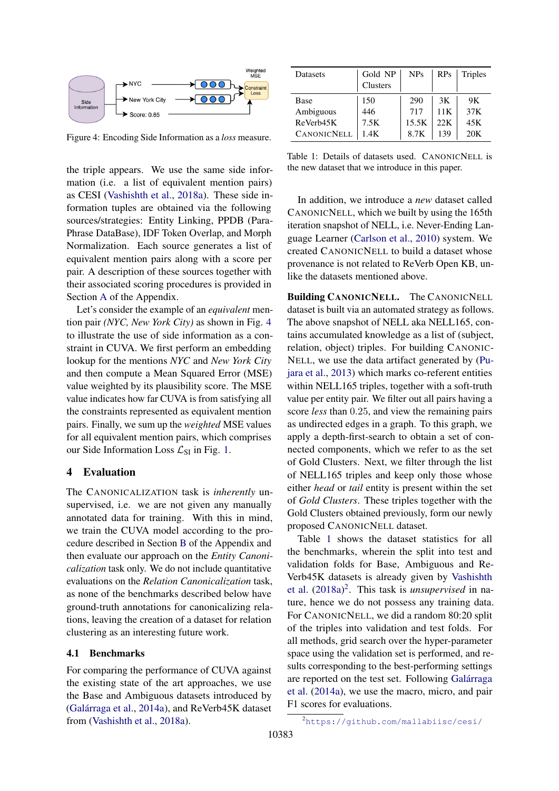<span id="page-4-0"></span>

Figure 4: Encoding Side Information as a *loss* measure.

the triple appears. We use the same side information (i.e. a list of equivalent mention pairs) as CESI [\(Vashishth et al.,](#page-10-3) [2018a\)](#page-10-3). These side information tuples are obtained via the following sources/strategies: Entity Linking, PPDB (Para-Phrase DataBase), IDF Token Overlap, and Morph Normalization. Each source generates a list of equivalent mention pairs along with a score per pair. A description of these sources together with their associated scoring procedures is provided in Section [A](#page-11-0) of the Appendix.

Let's consider the example of an *equivalent* mention pair *(NYC, New York City)* as shown in Fig. [4](#page-4-0) to illustrate the use of side information as a constraint in CUVA. We first perform an embedding lookup for the mentions *NYC* and *New York City* and then compute a Mean Squared Error (MSE) value weighted by its plausibility score. The MSE value indicates how far CUVA is from satisfying all the constraints represented as equivalent mention pairs. Finally, we sum up the *weighted* MSE values for all equivalent mention pairs, which comprises our Side Information Loss  $\mathcal{L}_{SI}$  in Fig. [1.](#page-2-0)

### 4 Evaluation

The CANONICALIZATION task is *inherently* unsupervised, i.e. we are not given any manually annotated data for training. With this in mind, we train the CUVA model according to the procedure described in Section [B](#page-11-1) of the Appendix and then evaluate our approach on the *Entity Canonicalization* task only. We do not include quantitative evaluations on the *Relation Canonicalization* task, as none of the benchmarks described below have ground-truth annotations for canonicalizing relations, leaving the creation of a dataset for relation clustering as an interesting future work.

### 4.1 Benchmarks

For comparing the performance of CUVA against the existing state of the art approaches, we use the Base and Ambiguous datasets introduced by [\(Galárraga et al.,](#page-8-6) [2014a\)](#page-8-6), and ReVerb45K dataset from [\(Vashishth et al.,](#page-10-3) [2018a\)](#page-10-3).

<span id="page-4-1"></span>

| <b>Datasets</b>    | Gold NP<br>Clusters | <b>NPs</b> | RPs  | <b>Triples</b>  |
|--------------------|---------------------|------------|------|-----------------|
| Base               | 150                 | 290        | 3K   | 9K              |
| Ambiguous          | 446                 | 717        | 11 K | 37K             |
| ReVerb45K          | 7.5K                | 15.5K      | 22K  | 45K             |
| <b>CANONICNELL</b> | 1.4K                | 8.7K       | 139  | 20 <sub>K</sub> |

Table 1: Details of datasets used. CANONICNELL is the new dataset that we introduce in this paper.

In addition, we introduce a *new* dataset called CANONICNELL, which we built by using the 165th iteration snapshot of NELL, i.e. Never-Ending Language Learner [\(Carlson et al.,](#page-8-9) [2010\)](#page-8-9) system. We created CANONICNELL to build a dataset whose provenance is not related to ReVerb Open KB, unlike the datasets mentioned above.

Building CANONICNELL. The CANONICNELL dataset is built via an automated strategy as follows. The above snapshot of NELL aka NELL165, contains accumulated knowledge as a list of (subject, relation, object) triples. For building CANONIC-NELL, we use the data artifact generated by [\(Pu](#page-9-6)[jara et al.,](#page-9-6) [2013\)](#page-9-6) which marks co-referent entities within NELL165 triples, together with a soft-truth value per entity pair. We filter out all pairs having a score *less* than 0.25, and view the remaining pairs as undirected edges in a graph. To this graph, we apply a depth-first-search to obtain a set of connected components, which we refer to as the set of Gold Clusters. Next, we filter through the list of NELL165 triples and keep only those whose either *head* or *tail* entity is present within the set of *Gold Clusters*. These triples together with the Gold Clusters obtained previously, form our newly proposed CANONICNELL dataset.

Table [1](#page-4-1) shows the dataset statistics for all the benchmarks, wherein the split into test and validation folds for Base, Ambiguous and Re-Verb45K datasets is already given by [Vashishth](#page-10-3) [et al.](#page-10-3) [\(2018a\)](#page-10-3) [2](#page-0-0) . This task is *unsupervised* in nature, hence we do not possess any training data. For CANONICNELL, we did a random 80:20 split of the triples into validation and test folds. For all methods, grid search over the hyper-parameter space using the validation set is performed, and results corresponding to the best-performing settings are reported on the test set. Following [Galárraga](#page-8-6) [et al.](#page-8-6) [\(2014a\)](#page-8-6), we use the macro, micro, and pair F1 scores for evaluations.

<sup>2</sup><https://github.com/mallabiisc/cesi/>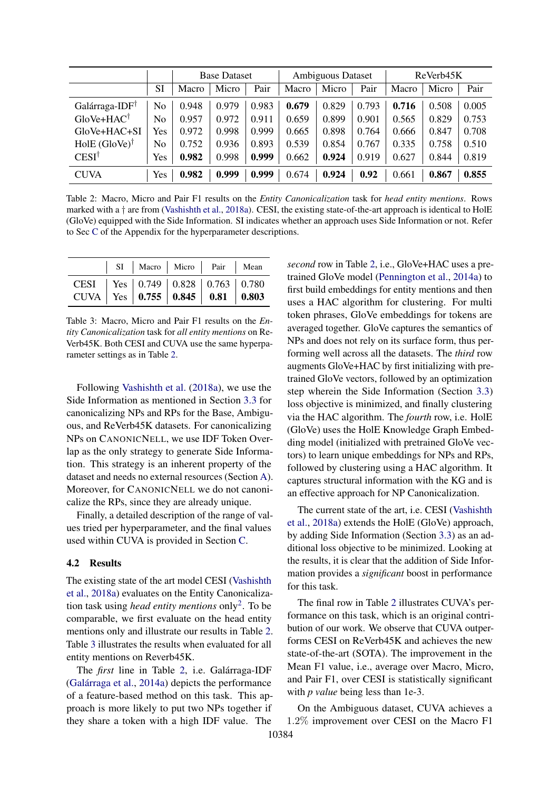<span id="page-5-0"></span>

|                            |     |       | <b>Base Dataset</b> |       |       | <b>Ambiguous Dataset</b> |       |       | ReVerb45K |       |
|----------------------------|-----|-------|---------------------|-------|-------|--------------------------|-------|-------|-----------|-------|
|                            | SI  | Macro | Micro               | Pair  | Macro | Micro                    | Pair  | Macro | Micro     | Pair  |
| Galárraga-IDF <sup>T</sup> | No  | 0.948 | 0.979               | 0.983 | 0.679 | 0.829                    | 0.793 | 0.716 | 0.508     | 0.005 |
| $GloVe+HAC^{\dagger}$      | No  | 0.957 | 0.972               | 0.911 | 0.659 | 0.899                    | 0.901 | 0.565 | 0.829     | 0.753 |
| $GloVe+HAC+SI$             | Yes | 0.972 | 0.998               | 0.999 | 0.665 | 0.898                    | 0.764 | 0.666 | 0.847     | 0.708 |
| HolE $(GloVe)^{\dagger}$   | No  | 0.752 | 0.936               | 0.893 | 0.539 | 0.854                    | 0.767 | 0.335 | 0.758     | 0.510 |
| CESI <sup>†</sup>          | Yes | 0.982 | 0.998               | 0.999 | 0.662 | 0.924                    | 0.919 | 0.627 | 0.844     | 0.819 |
| <b>CUVA</b>                | Yes | 0.982 | 0.999               | 0.999 | 0.674 | 0.924                    | 0.92  | 0.661 | 0.867     | 0.855 |

Table 2: Macro, Micro and Pair F1 results on the *Entity Canonicalization* task for *head entity mentions*. Rows marked with a † are from [\(Vashishth et al.,](#page-10-3) [2018a\)](#page-10-3). CESI, the existing state-of-the-art approach is identical to HolE (GloVe) equipped with the Side Information. SI indicates whether an approach uses Side Information or not. Refer to Sec [C](#page-13-0) of the Appendix for the hyperparameter descriptions.

<span id="page-5-1"></span>

|                                                                                         |  | SI   Macro   Micro   Pair   Mean |  |
|-----------------------------------------------------------------------------------------|--|----------------------------------|--|
| CESI   Yes   0.749   0.828   0.763   0.780<br>CUVA   Yes   0.755   0.845   0.81   0.803 |  |                                  |  |

Table 3: Macro, Micro and Pair F1 results on the *Entity Canonicalization* task for *all entity mentions* on Re-Verb45K. Both CESI and CUVA use the same hyperparameter settings as in Table [2.](#page-5-0)

Following [Vashishth et al.](#page-10-3) [\(2018a\)](#page-10-3), we use the Side Information as mentioned in Section [3.3](#page-3-5) for canonicalizing NPs and RPs for the Base, Ambiguous, and ReVerb45K datasets. For canonicalizing NPs on CANONICNELL, we use IDF Token Overlap as the only strategy to generate Side Information. This strategy is an inherent property of the dataset and needs no external resources (Section [A\)](#page-11-0). Moreover, for CANONICNELL we do not canonicalize the RPs, since they are already unique.

Finally, a detailed description of the range of values tried per hyperparameter, and the final values used within CUVA is provided in Section [C.](#page-13-0)

### 4.2 Results

The existing state of the art model CESI [\(Vashishth](#page-10-3) [et al.,](#page-10-3) [2018a\)](#page-10-3) evaluates on the Entity Canonicalization task using *head entity mentions* only[2](#page-0-0) . To be comparable, we first evaluate on the head entity mentions only and illustrate our results in Table [2.](#page-5-0) Table [3](#page-5-1) illustrates the results when evaluated for all entity mentions on Reverb45K.

The *first* line in Table [2,](#page-5-0) i.e. Galárraga-IDF [\(Galárraga et al.,](#page-8-6) [2014a\)](#page-8-6) depicts the performance of a feature-based method on this task. This approach is more likely to put two NPs together if they share a token with a high IDF value. The

*second* row in Table [2,](#page-5-0) i.e., GloVe+HAC uses a pretrained GloVe model [\(Pennington et al.,](#page-9-7) [2014a\)](#page-9-7) to first build embeddings for entity mentions and then uses a HAC algorithm for clustering. For multi token phrases, GloVe embeddings for tokens are averaged together. GloVe captures the semantics of NPs and does not rely on its surface form, thus performing well across all the datasets. The *third* row augments GloVe+HAC by first initializing with pretrained GloVe vectors, followed by an optimization step wherein the Side Information (Section [3.3\)](#page-3-5) loss objective is minimized, and finally clustering via the HAC algorithm. The *fourth* row, i.e. HolE (GloVe) uses the HolE Knowledge Graph Embedding model (initialized with pretrained GloVe vectors) to learn unique embeddings for NPs and RPs, followed by clustering using a HAC algorithm. It captures structural information with the KG and is an effective approach for NP Canonicalization.

The current state of the art, i.e. CESI [\(Vashishth](#page-10-3) [et al.,](#page-10-3) [2018a\)](#page-10-3) extends the HolE (GloVe) approach, by adding Side Information (Section [3.3\)](#page-3-5) as an additional loss objective to be minimized. Looking at the results, it is clear that the addition of Side Information provides a *significant* boost in performance for this task.

The final row in Table [2](#page-5-0) illustrates CUVA's performance on this task, which is an original contribution of our work. We observe that CUVA outperforms CESI on ReVerb45K and achieves the new state-of-the-art (SOTA). The improvement in the Mean F1 value, i.e., average over Macro, Micro, and Pair F1, over CESI is statistically significant with *p value* being less than 1e-3.

On the Ambiguous dataset, CUVA achieves a 1.2% improvement over CESI on the Macro F1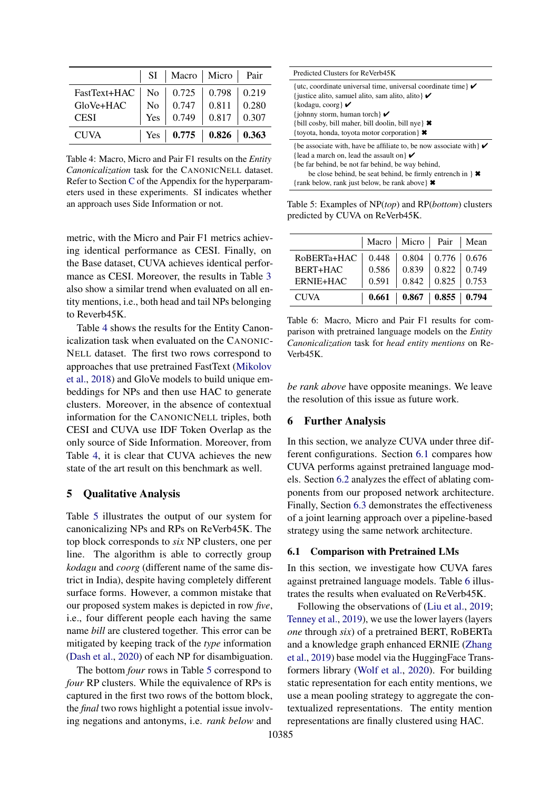<span id="page-6-0"></span>

|              |     | SI   Macro   Micro   Pair         |                           |       |
|--------------|-----|-----------------------------------|---------------------------|-------|
| FastText+HAC |     | No   $0.725$   $0.798$   $0.219$  |                           |       |
| GloVe+HAC    | No  |                                   | $0.747 \, \vert \, 0.811$ | 0.280 |
| <b>CESI</b>  | Yes | 0.749                             | 0.817                     | 0.307 |
| <b>CUVA</b>  |     | Yes   $0.775$   $0.826$   $0.363$ |                           |       |

Table 4: Macro, Micro and Pair F1 results on the *Entity Canonicalization* task for the CANONICNELL dataset. Refer to Section [C](#page-13-0) of the Appendix for the hyperparameters used in these experiments. SI indicates whether an approach uses Side Information or not.

metric, with the Micro and Pair F1 metrics achieving identical performance as CESI. Finally, on the Base dataset, CUVA achieves identical performance as CESI. Moreover, the results in Table [3](#page-5-1) also show a similar trend when evaluated on all entity mentions, i.e., both head and tail NPs belonging to Reverb45K.

Table [4](#page-6-0) shows the results for the Entity Canonicalization task when evaluated on the CANONIC-NELL dataset. The first two rows correspond to approaches that use pretrained FastText [\(Mikolov](#page-9-8) [et al.,](#page-9-8) [2018\)](#page-9-8) and GloVe models to build unique embeddings for NPs and then use HAC to generate clusters. Moreover, in the absence of contextual information for the CANONICNELL triples, both CESI and CUVA use IDF Token Overlap as the only source of Side Information. Moreover, from Table [4,](#page-6-0) it is clear that CUVA achieves the new state of the art result on this benchmark as well.

### 5 Qualitative Analysis

Table [5](#page-6-1) illustrates the output of our system for canonicalizing NPs and RPs on ReVerb45K. The top block corresponds to *six* NP clusters, one per line. The algorithm is able to correctly group *kodagu* and *coorg* (different name of the same district in India), despite having completely different surface forms. However, a common mistake that our proposed system makes is depicted in row *five*, i.e., four different people each having the same name *bill* are clustered together. This error can be mitigated by keeping track of the *type* information [\(Dash et al.,](#page-8-10) [2020\)](#page-8-10) of each NP for disambiguation.

The bottom *four* rows in Table [5](#page-6-1) correspond to *four* RP clusters. While the equivalence of RPs is captured in the first two rows of the bottom block, the *final* two rows highlight a potential issue involving negations and antonyms, i.e. *rank below* and

<span id="page-6-1"></span>

| Predicted Clusters for ReVerb45K                                                                                                                                                                                                                                                                                                          |
|-------------------------------------------------------------------------------------------------------------------------------------------------------------------------------------------------------------------------------------------------------------------------------------------------------------------------------------------|
| {utc, coordinate universal time, universal coordinate time} $\checkmark$<br>{ justice alito, samuel alito, sam alito, alito $\mathcal V$<br>{kodagu, coorg} $\boldsymbol{\checkmark}$<br>{johnny storm, human torch $\mathcal V$<br>{bill cosby, bill maher, bill doolin, bill nye} $\ast$<br>{toyota, honda, toyota motor corporation} * |
| {be associate with, have be affiliate to, be now associate with $\mathcal V$<br>{lead a march on, lead the assault on $\mathcal V$<br>(be far behind, be not far behind, be way behind,<br>be close behind, be seat behind, be firmly entrench in $\}$ $\star$<br>{rank below, rank just below, be rank above} <b>*</b>                   |

Table 5: Examples of NP(*top*) and RP(*bottom*) clusters predicted by CUVA on ReVerb45K.

<span id="page-6-3"></span>

|             | Macro   Micro   Pair   Mean |                                       |                         |  |
|-------------|-----------------------------|---------------------------------------|-------------------------|--|
| RoBERTa+HAC |                             | $0.448$   0.804   0.776   0.676       |                         |  |
| BERT+HAC    | 0.586                       | $\vert 0.839 \vert 0.822 \vert 0.749$ |                         |  |
| ERNIE+HAC   | 0.591                       |                                       | $0.842$   0.825   0.753 |  |
| <b>CUVA</b> |                             | $0.661$   $0.867$   $0.855$   $0.794$ |                         |  |

Table 6: Macro, Micro and Pair F1 results for comparison with pretrained language models on the *Entity Canonicalization* task for *head entity mentions* on Re-Verb45K.

*be rank above* have opposite meanings. We leave the resolution of this issue as future work.

### 6 Further Analysis

In this section, we analyze CUVA under three different configurations. Section [6.1](#page-6-2) compares how CUVA performs against pretrained language models. Section [6.2](#page-7-0) analyzes the effect of ablating components from our proposed network architecture. Finally, Section [6.3](#page-7-1) demonstrates the effectiveness of a joint learning approach over a pipeline-based strategy using the same network architecture.

#### <span id="page-6-2"></span>6.1 Comparison with Pretrained LMs

In this section, we investigate how CUVA fares against pretrained language models. Table [6](#page-6-3) illustrates the results when evaluated on ReVerb45K.

Following the observations of [\(Liu et al.,](#page-9-9) [2019;](#page-9-9) [Tenney et al.,](#page-9-10) [2019\)](#page-9-10), we use the lower layers (layers *one* through *six*) of a pretrained BERT, RoBERTa and a knowledge graph enhanced ERNIE [\(Zhang](#page-10-4) [et al.,](#page-10-4) [2019\)](#page-10-4) base model via the HuggingFace Transformers library [\(Wolf et al.,](#page-10-5) [2020\)](#page-10-5). For building static representation for each entity mentions, we use a mean pooling strategy to aggregate the contextualized representations. The entity mention representations are finally clustered using HAC.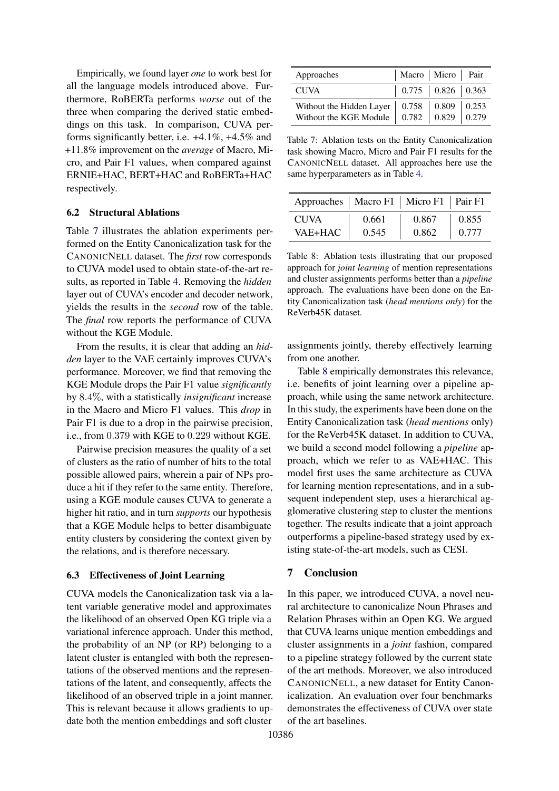Empirically, we found layer *one* to work best for all the language models introduced above. Furthermore, RoBERTa performs *worse* out of the three when comparing the derived static embeddings on this task. In comparison, CUVA performs significantly better, i.e. +4.1%, +4.5% and +11.8% improvement on the *average* of Macro, Micro, and Pair F1 values, when compared against ERNIE+HAC, BERT+HAC and RoBERTa+HAC respectively.

#### <span id="page-7-0"></span>6.2 Structural Ablations

Table [7](#page-7-2) illustrates the ablation experiments performed on the Entity Canonicalization task for the CANONICNELL dataset. The *first* row corresponds to CUVA model used to obtain state-of-the-art results, as reported in Table [4.](#page-6-0) Removing the *hidden* layer out of CUVA's encoder and decoder network, yields the results in the *second* row of the table. The *final* row reports the performance of CUVA without the KGE Module.

From the results, it is clear that adding an *hidden* layer to the VAE certainly improves CUVA's performance. Moreover, we find that removing the KGE Module drops the Pair F1 value *significantly* by 8.4%, with a statistically *insignificant* increase in the Macro and Micro F1 values. This *drop* in Pair F1 is due to a drop in the pairwise precision, i.e., from 0.379 with KGE to 0.229 without KGE.

Pairwise precision measures the quality of a set of clusters as the ratio of number of hits to the total possible allowed pairs, wherein a pair of NPs produce a hit if they refer to the same entity. Therefore, using a KGE module causes CUVA to generate a higher hit ratio, and in turn *supports* our hypothesis that a KGE Module helps to better disambiguate entity clusters by considering the context given by the relations, and is therefore necessary.

#### <span id="page-7-1"></span>6.3 Effectiveness of Joint Learning

CUVA models the Canonicalization task via a latent variable generative model and approximates the likelihood of an observed Open KG triple via a variational inference approach. Under this method, the probability of an NP (or RP) belonging to a latent cluster is entangled with both the representations of the observed mentions and the representations of the latent, and consequently, affects the likelihood of an observed triple in a joint manner. This is relevant because it allows gradients to update both the mention embeddings and soft cluster

<span id="page-7-2"></span>

| Approaches                                                                                                                                                                                                             | Macro   Micro   Pair                                                               |  |
|------------------------------------------------------------------------------------------------------------------------------------------------------------------------------------------------------------------------|------------------------------------------------------------------------------------|--|
| <b>CUVA</b>                                                                                                                                                                                                            | $\begin{array}{ c c c c c c c c } \hline 0.775 & 0.826 & 0.363 \hline \end{array}$ |  |
| Without the Hidden Layer $\begin{array}{ c c c c c c } \hline 0.758 & 0.809 & 0.253 \\ \hline \end{array}$<br>Without the KGE Module $\begin{array}{ c c c c c c } \hline 0.782 & 0.829 & 0.279 \\ \hline \end{array}$ |                                                                                    |  |

Table 7: Ablation tests on the Entity Canonicalization task showing Macro, Micro and Pair F1 results for the CANONICNELL dataset. All approaches here use the same hyperparameters as in Table [4.](#page-6-0)

<span id="page-7-3"></span>

| Approaches   Macro F1   Micro F1   Pair F1 |       |       |       |
|--------------------------------------------|-------|-------|-------|
| <b>CUVA</b>                                | 0.661 | 0.867 | 0.855 |
| VAE+HAC                                    | 0.545 | 0.862 | 0.777 |

Table 8: Ablation tests illustrating that our proposed approach for *joint learning* of mention representations and cluster assignments performs better than a *pipeline* approach. The evaluations have been done on the Entity Canonicalization task (*head mentions only*) for the ReVerb45K dataset.

assignments jointly, thereby effectively learning from one another.

Table [8](#page-7-3) empirically demonstrates this relevance, i.e. benefits of joint learning over a pipeline approach, while using the same network architecture. In this study, the experiments have been done on the Entity Canonicalization task (*head mentions* only) for the ReVerb45K dataset. In addition to CUVA, we build a second model following a *pipeline* approach, which we refer to as VAE+HAC. This model first uses the same architecture as CUVA for learning mention representations, and in a subsequent independent step, uses a hierarchical agglomerative clustering step to cluster the mentions together. The results indicate that a joint approach outperforms a pipeline-based strategy used by existing state-of-the-art models, such as CESI.

# 7 Conclusion

In this paper, we introduced CUVA, a novel neural architecture to canonicalize Noun Phrases and Relation Phrases within an Open KG. We argued that CUVA learns unique mention embeddings and cluster assignments in a *joint* fashion, compared to a pipeline strategy followed by the current state of the art methods. Moreover, we also introduced CANONICNELL, a new dataset for Entity Canonicalization. An evaluation over four benchmarks demonstrates the effectiveness of CUVA over state of the art baselines.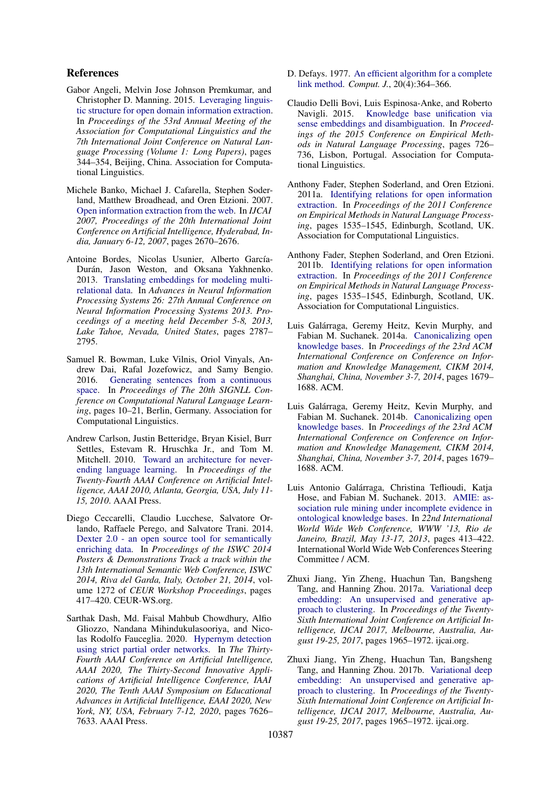### References

- <span id="page-8-4"></span>Gabor Angeli, Melvin Jose Johnson Premkumar, and Christopher D. Manning. 2015. [Leveraging linguis](https://doi.org/10.3115/v1/P15-1034)[tic structure for open domain information extraction.](https://doi.org/10.3115/v1/P15-1034) In *Proceedings of the 53rd Annual Meeting of the Association for Computational Linguistics and the 7th International Joint Conference on Natural Language Processing (Volume 1: Long Papers)*, pages 344–354, Beijing, China. Association for Computational Linguistics.
- <span id="page-8-3"></span>Michele Banko, Michael J. Cafarella, Stephen Soderland, Matthew Broadhead, and Oren Etzioni. 2007. [Open information extraction from the web.](http://ijcai.org/Proceedings/07/Papers/429.pdf) In *IJCAI 2007, Proceedings of the 20th International Joint Conference on Artificial Intelligence, Hyderabad, India, January 6-12, 2007*, pages 2670–2676.
- <span id="page-8-1"></span>Antoine Bordes, Nicolas Usunier, Alberto García-Durán, Jason Weston, and Oksana Yakhnenko. 2013. [Translating embeddings for modeling multi](https://proceedings.neurips.cc/paper/2013/hash/1cecc7a77928ca8133fa24680a88d2f9-Abstract.html)[relational data.](https://proceedings.neurips.cc/paper/2013/hash/1cecc7a77928ca8133fa24680a88d2f9-Abstract.html) In *Advances in Neural Information Processing Systems 26: 27th Annual Conference on Neural Information Processing Systems 2013. Proceedings of a meeting held December 5-8, 2013, Lake Tahoe, Nevada, United States*, pages 2787– 2795.
- <span id="page-8-15"></span>Samuel R. Bowman, Luke Vilnis, Oriol Vinyals, Andrew Dai, Rafal Jozefowicz, and Samy Bengio. 2016. [Generating sentences from a continuous](https://doi.org/10.18653/v1/K16-1002) [space.](https://doi.org/10.18653/v1/K16-1002) In *Proceedings of The 20th SIGNLL Conference on Computational Natural Language Learning*, pages 10–21, Berlin, Germany. Association for Computational Linguistics.
- <span id="page-8-9"></span>Andrew Carlson, Justin Betteridge, Bryan Kisiel, Burr Settles, Estevam R. Hruschka Jr., and Tom M. Mitchell. 2010. [Toward an architecture for never](http://www.aaai.org/ocs/index.php/AAAI/AAAI10/paper/view/1879)[ending language learning.](http://www.aaai.org/ocs/index.php/AAAI/AAAI10/paper/view/1879) In *Proceedings of the Twenty-Fourth AAAI Conference on Artificial Intelligence, AAAI 2010, Atlanta, Georgia, USA, July 11- 15, 2010*. AAAI Press.
- <span id="page-8-5"></span>Diego Ceccarelli, Claudio Lucchese, Salvatore Orlando, Raffaele Perego, and Salvatore Trani. 2014. [Dexter 2.0 - an open source tool for semantically](http://ceur-ws.org/Vol-1272/paper_127.pdf) [enriching data.](http://ceur-ws.org/Vol-1272/paper_127.pdf) In *Proceedings of the ISWC 2014 Posters & Demonstrations Track a track within the 13th International Semantic Web Conference, ISWC 2014, Riva del Garda, Italy, October 21, 2014*, volume 1272 of *CEUR Workshop Proceedings*, pages 417–420. CEUR-WS.org.
- <span id="page-8-10"></span>Sarthak Dash, Md. Faisal Mahbub Chowdhury, Alfio Gliozzo, Nandana Mihindukulasooriya, and Nicolas Rodolfo Fauceglia. 2020. [Hypernym detection](https://aaai.org/ojs/index.php/AAAI/article/view/6263) [using strict partial order networks.](https://aaai.org/ojs/index.php/AAAI/article/view/6263) In *The Thirty-Fourth AAAI Conference on Artificial Intelligence, AAAI 2020, The Thirty-Second Innovative Applications of Artificial Intelligence Conference, IAAI 2020, The Tenth AAAI Symposium on Educational Advances in Artificial Intelligence, EAAI 2020, New York, NY, USA, February 7-12, 2020*, pages 7626– 7633. AAAI Press.
- <span id="page-8-13"></span>D. Defays. 1977. [An efficient algorithm for a complete](https://doi.org/10.1093/comjnl/20.4.364) [link method.](https://doi.org/10.1093/comjnl/20.4.364) *Comput. J.*, 20(4):364–366.
- <span id="page-8-8"></span>Claudio Delli Bovi, Luis Espinosa-Anke, and Roberto Navigli. 2015. [Knowledge base unification via](https://doi.org/10.18653/v1/D15-1084) [sense embeddings and disambiguation.](https://doi.org/10.18653/v1/D15-1084) In *Proceedings of the 2015 Conference on Empirical Methods in Natural Language Processing*, pages 726– 736, Lisbon, Portugal. Association for Computational Linguistics.
- <span id="page-8-0"></span>Anthony Fader, Stephen Soderland, and Oren Etzioni. 2011a. [Identifying relations for open information](https://aclanthology.org/D11-1142) [extraction.](https://aclanthology.org/D11-1142) In *Proceedings of the 2011 Conference on Empirical Methods in Natural Language Processing*, pages 1535–1545, Edinburgh, Scotland, UK. Association for Computational Linguistics.
- <span id="page-8-12"></span>Anthony Fader, Stephen Soderland, and Oren Etzioni. 2011b. [Identifying relations for open information](https://aclanthology.org/D11-1142) [extraction.](https://aclanthology.org/D11-1142) In *Proceedings of the 2011 Conference on Empirical Methods in Natural Language Processing*, pages 1535–1545, Edinburgh, Scotland, UK. Association for Computational Linguistics.
- <span id="page-8-6"></span>Luis Galárraga, Geremy Heitz, Kevin Murphy, and Fabian M. Suchanek. 2014a. [Canonicalizing open](https://doi.org/10.1145/2661829.2662073) [knowledge bases.](https://doi.org/10.1145/2661829.2662073) In *Proceedings of the 23rd ACM International Conference on Conference on Information and Knowledge Management, CIKM 2014, Shanghai, China, November 3-7, 2014*, pages 1679– 1688. ACM.
- <span id="page-8-11"></span>Luis Galárraga, Geremy Heitz, Kevin Murphy, and Fabian M. Suchanek. 2014b. [Canonicalizing open](https://doi.org/10.1145/2661829.2662073) [knowledge bases.](https://doi.org/10.1145/2661829.2662073) In *Proceedings of the 23rd ACM International Conference on Conference on Information and Knowledge Management, CIKM 2014, Shanghai, China, November 3-7, 2014*, pages 1679– 1688. ACM.
- <span id="page-8-7"></span>Luis Antonio Galárraga, Christina Teflioudi, Katja Hose, and Fabian M. Suchanek. 2013. [AMIE: as](https://doi.org/10.1145/2488388.2488425)[sociation rule mining under incomplete evidence in](https://doi.org/10.1145/2488388.2488425) [ontological knowledge bases.](https://doi.org/10.1145/2488388.2488425) In *22nd International World Wide Web Conference, WWW '13, Rio de Janeiro, Brazil, May 13-17, 2013*, pages 413–422. International World Wide Web Conferences Steering Committee / ACM.
- <span id="page-8-2"></span>Zhuxi Jiang, Yin Zheng, Huachun Tan, Bangsheng Tang, and Hanning Zhou. 2017a. [Variational deep](https://doi.org/10.24963/ijcai.2017/273) [embedding: An unsupervised and generative ap](https://doi.org/10.24963/ijcai.2017/273)[proach to clustering.](https://doi.org/10.24963/ijcai.2017/273) In *Proceedings of the Twenty-Sixth International Joint Conference on Artificial Intelligence, IJCAI 2017, Melbourne, Australia, August 19-25, 2017*, pages 1965–1972. ijcai.org.
- <span id="page-8-14"></span>Zhuxi Jiang, Yin Zheng, Huachun Tan, Bangsheng Tang, and Hanning Zhou. 2017b. [Variational deep](https://doi.org/10.24963/ijcai.2017/273) [embedding: An unsupervised and generative ap](https://doi.org/10.24963/ijcai.2017/273)[proach to clustering.](https://doi.org/10.24963/ijcai.2017/273) In *Proceedings of the Twenty-Sixth International Joint Conference on Artificial Intelligence, IJCAI 2017, Melbourne, Australia, August 19-25, 2017*, pages 1965–1972. ijcai.org.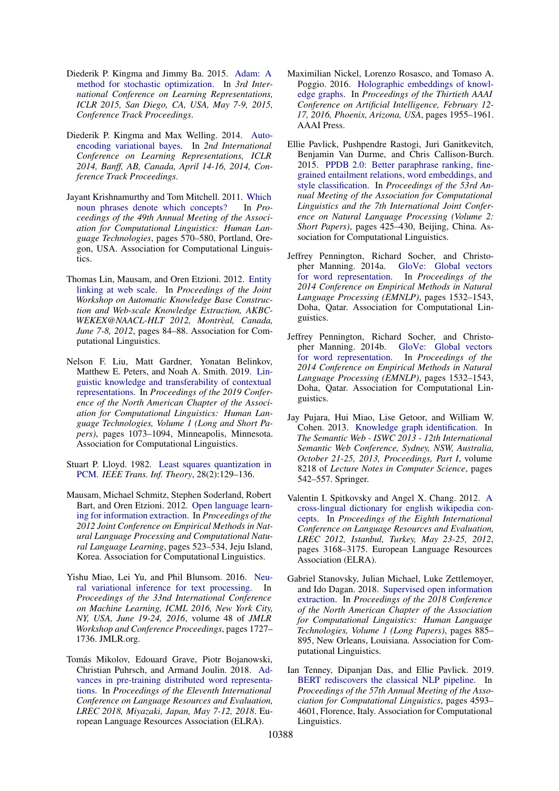- <span id="page-9-16"></span>Diederik P. Kingma and Jimmy Ba. 2015. [Adam: A](http://arxiv.org/abs/1412.6980) [method for stochastic optimization.](http://arxiv.org/abs/1412.6980) In *3rd International Conference on Learning Representations, ICLR 2015, San Diego, CA, USA, May 7-9, 2015, Conference Track Proceedings*.
- <span id="page-9-5"></span>Diederik P. Kingma and Max Welling. 2014. [Auto](http://arxiv.org/abs/1312.6114)[encoding variational bayes.](http://arxiv.org/abs/1312.6114) In *2nd International Conference on Learning Representations, ICLR 2014, Banff, AB, Canada, April 14-16, 2014, Conference Track Proceedings*.
- <span id="page-9-3"></span>Jayant Krishnamurthy and Tom Mitchell. 2011. [Which](https://aclanthology.org/P11-1058) [noun phrases denote which concepts?](https://aclanthology.org/P11-1058) In *Proceedings of the 49th Annual Meeting of the Association for Computational Linguistics: Human Language Technologies*, pages 570–580, Portland, Oregon, USA. Association for Computational Linguistics.
- <span id="page-9-2"></span>Thomas Lin, Mausam, and Oren Etzioni. 2012. [Entity](https://aclanthology.org/W12-3016/) [linking at web scale.](https://aclanthology.org/W12-3016/) In *Proceedings of the Joint Workshop on Automatic Knowledge Base Construction and Web-scale Knowledge Extraction, AKBC-WEKEX@NAACL-HLT 2012, Montrèal, Canada, June 7-8, 2012*, pages 84–88. Association for Computational Linguistics.
- <span id="page-9-9"></span>Nelson F. Liu, Matt Gardner, Yonatan Belinkov, Matthew E. Peters, and Noah A. Smith. 2019. [Lin](https://doi.org/10.18653/v1/N19-1112)[guistic knowledge and transferability of contextual](https://doi.org/10.18653/v1/N19-1112) [representations.](https://doi.org/10.18653/v1/N19-1112) In *Proceedings of the 2019 Conference of the North American Chapter of the Association for Computational Linguistics: Human Language Technologies, Volume 1 (Long and Short Papers)*, pages 1073–1094, Minneapolis, Minnesota. Association for Computational Linguistics.
- <span id="page-9-14"></span>Stuart P. Lloyd. 1982. [Least squares quantization in](https://doi.org/10.1109/TIT.1982.1056489) [PCM.](https://doi.org/10.1109/TIT.1982.1056489) *IEEE Trans. Inf. Theory*, 28(2):129–136.
- <span id="page-9-1"></span>Mausam, Michael Schmitz, Stephen Soderland, Robert Bart, and Oren Etzioni. 2012. [Open language learn](https://aclanthology.org/D12-1048)[ing for information extraction.](https://aclanthology.org/D12-1048) In *Proceedings of the 2012 Joint Conference on Empirical Methods in Natural Language Processing and Computational Natural Language Learning*, pages 523–534, Jeju Island, Korea. Association for Computational Linguistics.
- <span id="page-9-15"></span>Yishu Miao, Lei Yu, and Phil Blunsom. 2016. [Neu](http://proceedings.mlr.press/v48/miao16.html)[ral variational inference for text processing.](http://proceedings.mlr.press/v48/miao16.html) In *Proceedings of the 33nd International Conference on Machine Learning, ICML 2016, New York City, NY, USA, June 19-24, 2016*, volume 48 of *JMLR Workshop and Conference Proceedings*, pages 1727– 1736. JMLR.org.
- <span id="page-9-8"></span>Tomás Mikolov, Edouard Grave, Piotr Bojanowski, Christian Puhrsch, and Armand Joulin. 2018. [Ad](http://www.lrec-conf.org/proceedings/lrec2018/summaries/721.html)[vances in pre-training distributed word representa](http://www.lrec-conf.org/proceedings/lrec2018/summaries/721.html)[tions.](http://www.lrec-conf.org/proceedings/lrec2018/summaries/721.html) In *Proceedings of the Eleventh International Conference on Language Resources and Evaluation, LREC 2018, Miyazaki, Japan, May 7-12, 2018*. European Language Resources Association (ELRA).
- <span id="page-9-4"></span>Maximilian Nickel, Lorenzo Rosasco, and Tomaso A. Poggio. 2016. [Holographic embeddings of knowl](http://www.aaai.org/ocs/index.php/AAAI/AAAI16/paper/view/12484)[edge graphs.](http://www.aaai.org/ocs/index.php/AAAI/AAAI16/paper/view/12484) In *Proceedings of the Thirtieth AAAI Conference on Artificial Intelligence, February 12- 17, 2016, Phoenix, Arizona, USA*, pages 1955–1961. AAAI Press.
- <span id="page-9-12"></span>Ellie Pavlick, Pushpendre Rastogi, Juri Ganitkevitch, Benjamin Van Durme, and Chris Callison-Burch. 2015. [PPDB 2.0: Better paraphrase ranking, fine](https://doi.org/10.3115/v1/P15-2070)[grained entailment relations, word embeddings, and](https://doi.org/10.3115/v1/P15-2070) [style classification.](https://doi.org/10.3115/v1/P15-2070) In *Proceedings of the 53rd Annual Meeting of the Association for Computational Linguistics and the 7th International Joint Conference on Natural Language Processing (Volume 2: Short Papers)*, pages 425–430, Beijing, China. Association for Computational Linguistics.
- <span id="page-9-7"></span>Jeffrey Pennington, Richard Socher, and Christopher Manning. 2014a. [GloVe: Global vectors](https://doi.org/10.3115/v1/D14-1162) [for word representation.](https://doi.org/10.3115/v1/D14-1162) In *Proceedings of the 2014 Conference on Empirical Methods in Natural Language Processing (EMNLP)*, pages 1532–1543, Doha, Qatar. Association for Computational Linguistics.
- <span id="page-9-13"></span>Jeffrey Pennington, Richard Socher, and Christopher Manning. 2014b. [GloVe: Global vectors](https://doi.org/10.3115/v1/D14-1162) [for word representation.](https://doi.org/10.3115/v1/D14-1162) In *Proceedings of the 2014 Conference on Empirical Methods in Natural Language Processing (EMNLP)*, pages 1532–1543, Doha, Qatar. Association for Computational Linguistics.
- <span id="page-9-6"></span>Jay Pujara, Hui Miao, Lise Getoor, and William W. Cohen. 2013. [Knowledge graph identification.](https://doi.org/10.1007/978-3-642-41335-3_34) In *The Semantic Web - ISWC 2013 - 12th International Semantic Web Conference, Sydney, NSW, Australia, October 21-25, 2013, Proceedings, Part I*, volume 8218 of *Lecture Notes in Computer Science*, pages 542–557. Springer.
- <span id="page-9-11"></span>Valentin I. Spitkovsky and Angel X. Chang. 2012. [A](http://www.lrec-conf.org/proceedings/lrec2012/summaries/266.html) [cross-lingual dictionary for english wikipedia con](http://www.lrec-conf.org/proceedings/lrec2012/summaries/266.html)[cepts.](http://www.lrec-conf.org/proceedings/lrec2012/summaries/266.html) In *Proceedings of the Eighth International Conference on Language Resources and Evaluation, LREC 2012, Istanbul, Turkey, May 23-25, 2012*, pages 3168–3175. European Language Resources Association (ELRA).
- <span id="page-9-0"></span>Gabriel Stanovsky, Julian Michael, Luke Zettlemoyer, and Ido Dagan. 2018. [Supervised open information](https://doi.org/10.18653/v1/N18-1081) [extraction.](https://doi.org/10.18653/v1/N18-1081) In *Proceedings of the 2018 Conference of the North American Chapter of the Association for Computational Linguistics: Human Language Technologies, Volume 1 (Long Papers)*, pages 885– 895, New Orleans, Louisiana. Association for Computational Linguistics.
- <span id="page-9-10"></span>Ian Tenney, Dipanjan Das, and Ellie Pavlick. 2019. [BERT rediscovers the classical NLP pipeline.](https://doi.org/10.18653/v1/P19-1452) In *Proceedings of the 57th Annual Meeting of the Association for Computational Linguistics*, pages 4593– 4601, Florence, Italy. Association for Computational Linguistics.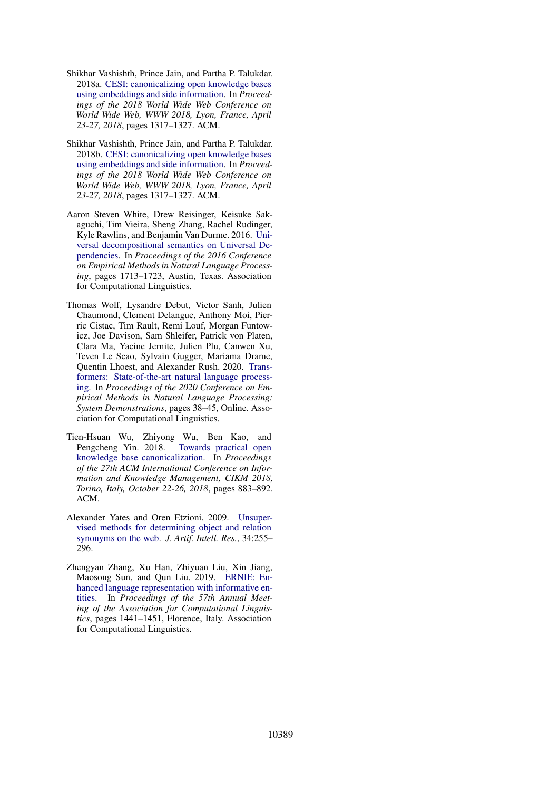- <span id="page-10-3"></span>Shikhar Vashishth, Prince Jain, and Partha P. Talukdar. 2018a. [CESI: canonicalizing open knowledge bases](https://doi.org/10.1145/3178876.3186030) [using embeddings and side information.](https://doi.org/10.1145/3178876.3186030) In *Proceedings of the 2018 World Wide Web Conference on World Wide Web, WWW 2018, Lyon, France, April 23-27, 2018*, pages 1317–1327. ACM.
- <span id="page-10-6"></span>Shikhar Vashishth, Prince Jain, and Partha P. Talukdar. 2018b. [CESI: canonicalizing open knowledge bases](https://doi.org/10.1145/3178876.3186030) [using embeddings and side information.](https://doi.org/10.1145/3178876.3186030) In *Proceedings of the 2018 World Wide Web Conference on World Wide Web, WWW 2018, Lyon, France, April 23-27, 2018*, pages 1317–1327. ACM.
- <span id="page-10-0"></span>Aaron Steven White, Drew Reisinger, Keisuke Sakaguchi, Tim Vieira, Sheng Zhang, Rachel Rudinger, Kyle Rawlins, and Benjamin Van Durme. 2016. [Uni](https://doi.org/10.18653/v1/D16-1177)[versal decompositional semantics on Universal De](https://doi.org/10.18653/v1/D16-1177)[pendencies.](https://doi.org/10.18653/v1/D16-1177) In *Proceedings of the 2016 Conference on Empirical Methods in Natural Language Processing*, pages 1713–1723, Austin, Texas. Association for Computational Linguistics.
- <span id="page-10-5"></span>Thomas Wolf, Lysandre Debut, Victor Sanh, Julien Chaumond, Clement Delangue, Anthony Moi, Pierric Cistac, Tim Rault, Remi Louf, Morgan Funtowicz, Joe Davison, Sam Shleifer, Patrick von Platen, Clara Ma, Yacine Jernite, Julien Plu, Canwen Xu, Teven Le Scao, Sylvain Gugger, Mariama Drame, Quentin Lhoest, and Alexander Rush. 2020. [Trans](https://doi.org/10.18653/v1/2020.emnlp-demos.6)[formers: State-of-the-art natural language process](https://doi.org/10.18653/v1/2020.emnlp-demos.6)[ing.](https://doi.org/10.18653/v1/2020.emnlp-demos.6) In *Proceedings of the 2020 Conference on Empirical Methods in Natural Language Processing: System Demonstrations*, pages 38–45, Online. Association for Computational Linguistics.
- <span id="page-10-2"></span>Tien-Hsuan Wu, Zhiyong Wu, Ben Kao, and Pengcheng Yin. 2018. [Towards practical open](https://doi.org/10.1145/3269206.3271707) [knowledge base canonicalization.](https://doi.org/10.1145/3269206.3271707) In *Proceedings of the 27th ACM International Conference on Information and Knowledge Management, CIKM 2018, Torino, Italy, October 22-26, 2018*, pages 883–892. ACM.
- <span id="page-10-1"></span>Alexander Yates and Oren Etzioni. 2009. [Unsuper](https://doi.org/10.1613/jair.2772)[vised methods for determining object and relation](https://doi.org/10.1613/jair.2772) [synonyms on the web.](https://doi.org/10.1613/jair.2772) *J. Artif. Intell. Res.*, 34:255– 296.
- <span id="page-10-4"></span>Zhengyan Zhang, Xu Han, Zhiyuan Liu, Xin Jiang, Maosong Sun, and Qun Liu. 2019. [ERNIE: En](https://doi.org/10.18653/v1/P19-1139)[hanced language representation with informative en](https://doi.org/10.18653/v1/P19-1139)[tities.](https://doi.org/10.18653/v1/P19-1139) In *Proceedings of the 57th Annual Meeting of the Association for Computational Linguistics*, pages 1441–1451, Florence, Italy. Association for Computational Linguistics.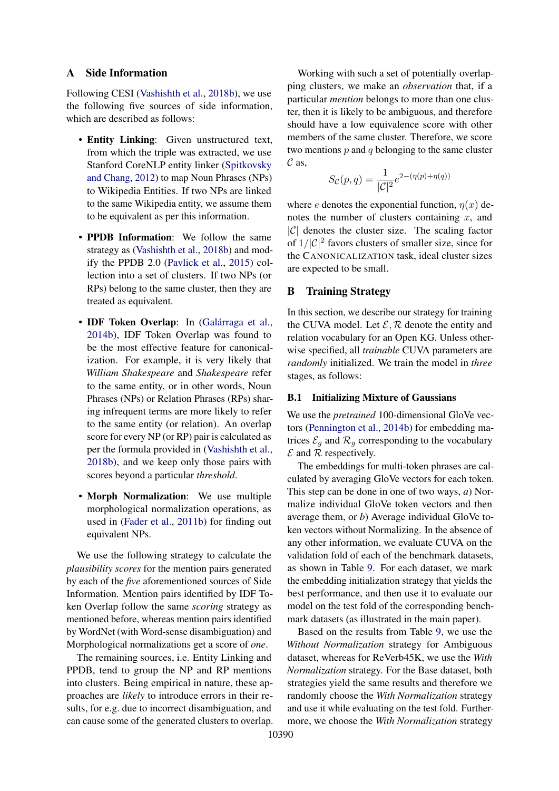### <span id="page-11-0"></span>A Side Information

Following CESI [\(Vashishth et al.,](#page-10-6) [2018b\)](#page-10-6), we use the following five sources of side information, which are described as follows:

- Entity Linking: Given unstructured text, from which the triple was extracted, we use Stanford CoreNLP entity linker [\(Spitkovsky](#page-9-11) [and Chang,](#page-9-11) [2012\)](#page-9-11) to map Noun Phrases (NPs) to Wikipedia Entities. If two NPs are linked to the same Wikipedia entity, we assume them to be equivalent as per this information.
- PPDB Information: We follow the same strategy as [\(Vashishth et al.,](#page-10-6) [2018b\)](#page-10-6) and modify the PPDB 2.0 [\(Pavlick et al.,](#page-9-12) [2015\)](#page-9-12) collection into a set of clusters. If two NPs (or RPs) belong to the same cluster, then they are treated as equivalent.
- IDF Token Overlap: In [\(Galárraga et al.,](#page-8-11) [2014b\)](#page-8-11), IDF Token Overlap was found to be the most effective feature for canonicalization. For example, it is very likely that *William Shakespeare* and *Shakespeare* refer to the same entity, or in other words, Noun Phrases (NPs) or Relation Phrases (RPs) sharing infrequent terms are more likely to refer to the same entity (or relation). An overlap score for every NP (or RP) pair is calculated as per the formula provided in [\(Vashishth et al.,](#page-10-6) [2018b\)](#page-10-6), and we keep only those pairs with scores beyond a particular *threshold*.
- Morph Normalization: We use multiple morphological normalization operations, as used in [\(Fader et al.,](#page-8-12) [2011b\)](#page-8-12) for finding out equivalent NPs.

We use the following strategy to calculate the *plausibility scores* for the mention pairs generated by each of the *five* aforementioned sources of Side Information. Mention pairs identified by IDF Token Overlap follow the same *scoring* strategy as mentioned before, whereas mention pairs identified by WordNet (with Word-sense disambiguation) and Morphological normalizations get a score of *one*.

The remaining sources, i.e. Entity Linking and PPDB, tend to group the NP and RP mentions into clusters. Being empirical in nature, these approaches are *likely* to introduce errors in their results, for e.g. due to incorrect disambiguation, and can cause some of the generated clusters to overlap.

Working with such a set of potentially overlapping clusters, we make an *observation* that, if a particular *mention* belongs to more than one cluster, then it is likely to be ambiguous, and therefore should have a low equivalence score with other members of the same cluster. Therefore, we score two mentions  $p$  and  $q$  belonging to the same cluster  $\mathcal C$  as,

$$
S_{\mathcal{C}}(p,q) = \frac{1}{|\mathcal{C}|^2} e^{2-(\eta(p)+\eta(q))}
$$

where e denotes the exponential function,  $\eta(x)$  denotes the number of clusters containing  $x$ , and  $|C|$  denotes the cluster size. The scaling factor of  $1/|C|^2$  favors clusters of smaller size, since for the CANONICALIZATION task, ideal cluster sizes are expected to be small.

# <span id="page-11-1"></span>B Training Strategy

In this section, we describe our strategy for training the CUVA model. Let  $\mathcal{E}, \mathcal{R}$  denote the entity and relation vocabulary for an Open KG. Unless otherwise specified, all *trainable* CUVA parameters are *randomly* initialized. We train the model in *three* stages, as follows:

### <span id="page-11-2"></span>B.1 Initializing Mixture of Gaussians

We use the *pretrained* 100-dimensional GloVe vectors [\(Pennington et al.,](#page-9-13) [2014b\)](#page-9-13) for embedding matrices  $\mathcal{E}_g$  and  $\mathcal{R}_g$  corresponding to the vocabulary  $\mathcal E$  and  $\mathcal R$  respectively.

The embeddings for multi-token phrases are calculated by averaging GloVe vectors for each token. This step can be done in one of two ways, *a*) Normalize individual GloVe token vectors and then average them, or *b*) Average individual GloVe token vectors without Normalizing. In the absence of any other information, we evaluate CUVA on the validation fold of each of the benchmark datasets, as shown in Table [9.](#page-12-0) For each dataset, we mark the embedding initialization strategy that yields the best performance, and then use it to evaluate our model on the test fold of the corresponding benchmark datasets (as illustrated in the main paper).

Based on the results from Table [9,](#page-12-0) we use the *Without Normalization* strategy for Ambiguous dataset, whereas for ReVerb45K, we use the *With Normalization* strategy. For the Base dataset, both strategies yield the same results and therefore we randomly choose the *With Normalization* strategy and use it while evaluating on the test fold. Furthermore, we choose the *With Normalization* strategy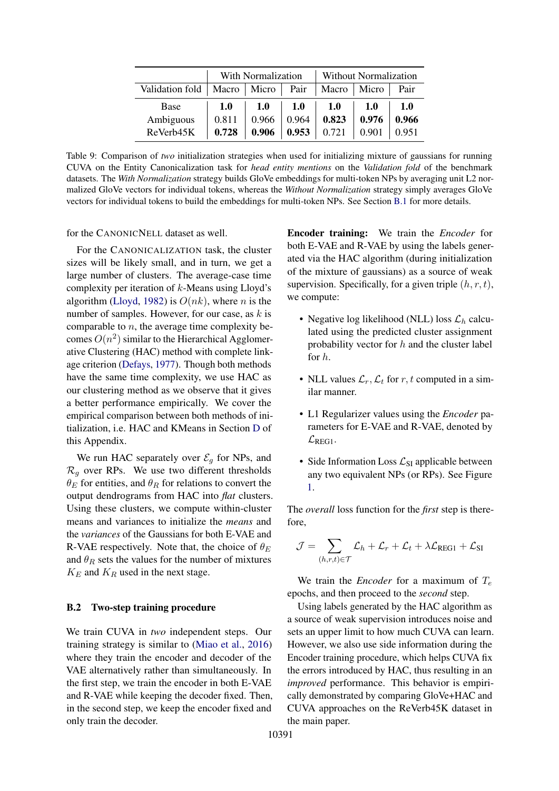<span id="page-12-0"></span>

|                 | With Normalization |            |       | Without Normalization |       |       |
|-----------------|--------------------|------------|-------|-----------------------|-------|-------|
| Validation fold | Macro   Micro      |            | Pair  | Macro                 | Micro | Pair  |
| Base            | <b>1.0</b>         | <b>1.0</b> | 1.0   | <b>1.0</b>            | 1.0   | 1.0   |
| Ambiguous       | 0.811              | 0.966      | 0.964 | 0.823                 | 0.976 | 0.966 |
| ReVerb45K       | 0.728              | 0.906      | 0.953 | 0.721                 | 0.901 | 0.951 |

Table 9: Comparison of *two* initialization strategies when used for initializing mixture of gaussians for running CUVA on the Entity Canonicalization task for *head entity mentions* on the *Validation fold* of the benchmark datasets. The *With Normalization* strategy builds GloVe embeddings for multi-token NPs by averaging unit L2 normalized GloVe vectors for individual tokens, whereas the *Without Normalization* strategy simply averages GloVe vectors for individual tokens to build the embeddings for multi-token NPs. See Section [B.1](#page-11-2) for more details.

for the CANONICNELL dataset as well.

For the CANONICALIZATION task, the cluster sizes will be likely small, and in turn, we get a large number of clusters. The average-case time complexity per iteration of  $k$ -Means using Lloyd's algorithm [\(Lloyd,](#page-9-14) [1982\)](#page-9-14) is  $O(nk)$ , where *n* is the number of samples. However, for our case, as  $k$  is comparable to  $n$ , the average time complexity becomes  $O(n^2)$  similar to the Hierarchical Agglomerative Clustering (HAC) method with complete linkage criterion [\(Defays,](#page-8-13) [1977\)](#page-8-13). Though both methods have the same time complexity, we use HAC as our clustering method as we observe that it gives a better performance empirically. We cover the empirical comparison between both methods of initialization, i.e. HAC and KMeans in Section [D](#page-14-0) of this Appendix.

We run HAC separately over  $\mathcal{E}_q$  for NPs, and  $\mathcal{R}_q$  over RPs. We use two different thresholds  $\theta_E$  for entities, and  $\theta_R$  for relations to convert the output dendrograms from HAC into *flat* clusters. Using these clusters, we compute within-cluster means and variances to initialize the *means* and the *variances* of the Gaussians for both E-VAE and R-VAE respectively. Note that, the choice of  $\theta_E$ and  $\theta_R$  sets the values for the number of mixtures  $K_E$  and  $K_R$  used in the next stage.

### B.2 Two-step training procedure

We train CUVA in *two* independent steps. Our training strategy is similar to [\(Miao et al.,](#page-9-15) [2016\)](#page-9-15) where they train the encoder and decoder of the VAE alternatively rather than simultaneously. In the first step, we train the encoder in both E-VAE and R-VAE while keeping the decoder fixed. Then, in the second step, we keep the encoder fixed and only train the decoder.

Encoder training: We train the *Encoder* for both E-VAE and R-VAE by using the labels generated via the HAC algorithm (during initialization of the mixture of gaussians) as a source of weak supervision. Specifically, for a given triple  $(h, r, t)$ , we compute:

- Negative log likelihood (NLL) loss  $\mathcal{L}_h$  calculated using the predicted cluster assignment probability vector for  $h$  and the cluster label for h.
- NLL values  $\mathcal{L}_r, \mathcal{L}_t$  for r, t computed in a similar manner.
- L1 Regularizer values using the *Encoder* parameters for E-VAE and R-VAE, denoted by  $\mathcal{L}_{\text{REG1}}$ .
- Side Information Loss  $\mathcal{L}_{SI}$  applicable between any two equivalent NPs (or RPs). See Figure [1.](#page-2-0)

The *overall* loss function for the *first* step is therefore,

$$
\mathcal{J} = \sum_{(h,r,t) \in \mathcal{T}} \mathcal{L}_h + \mathcal{L}_r + \mathcal{L}_t + \lambda \mathcal{L}_{\text{REG1}} + \mathcal{L}_{\text{SI}}
$$

We train the *Encoder* for a maximum of  $T_e$ epochs, and then proceed to the *second* step.

Using labels generated by the HAC algorithm as a source of weak supervision introduces noise and sets an upper limit to how much CUVA can learn. However, we also use side information during the Encoder training procedure, which helps CUVA fix the errors introduced by HAC, thus resulting in an *improved* performance. This behavior is empirically demonstrated by comparing GloVe+HAC and CUVA approaches on the ReVerb45K dataset in the main paper.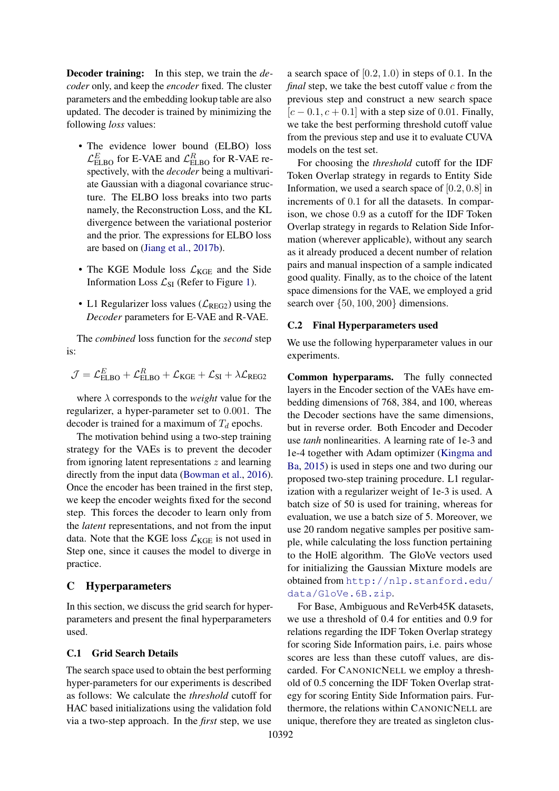Decoder training: In this step, we train the *decoder* only, and keep the *encoder* fixed. The cluster parameters and the embedding lookup table are also updated. The decoder is trained by minimizing the following *loss* values:

- The evidence lower bound (ELBO) loss  $\mathcal{L}_{\text{ELBO}}^E$  for E-VAE and  $\mathcal{L}_{\text{ELBO}}^R$  for R-VAE respectively, with the *decoder* being a multivariate Gaussian with a diagonal covariance structure. The ELBO loss breaks into two parts namely, the Reconstruction Loss, and the KL divergence between the variational posterior and the prior. The expressions for ELBO loss are based on [\(Jiang et al.,](#page-8-14) [2017b\)](#page-8-14).
- The KGE Module loss  $\mathcal{L}_{KGE}$  and the Side Information Loss  $\mathcal{L}_{SI}$  (Refer to Figure [1\)](#page-2-0).
- L1 Regularizer loss values ( $\mathcal{L}_{REG2}$ ) using the *Decoder* parameters for E-VAE and R-VAE.

The *combined* loss function for the *second* step is:

$$
\mathcal{J} = \mathcal{L}_{ELBO}^{E} + \mathcal{L}_{ELBO}^{R} + \mathcal{L}_{KGE} + \mathcal{L}_{SI} + \lambda \mathcal{L}_{REG2}
$$

where  $\lambda$  corresponds to the *weight* value for the regularizer, a hyper-parameter set to 0.001. The decoder is trained for a maximum of  $T_d$  epochs.

The motivation behind using a two-step training strategy for the VAEs is to prevent the decoder from ignoring latent representations z and learning directly from the input data [\(Bowman et al.,](#page-8-15) [2016\)](#page-8-15). Once the encoder has been trained in the first step, we keep the encoder weights fixed for the second step. This forces the decoder to learn only from the *latent* representations, and not from the input data. Note that the KGE loss  $\mathcal{L}_{KGE}$  is not used in Step one, since it causes the model to diverge in practice.

### <span id="page-13-0"></span>C Hyperparameters

In this section, we discuss the grid search for hyperparameters and present the final hyperparameters used.

### C.1 Grid Search Details

The search space used to obtain the best performing hyper-parameters for our experiments is described as follows: We calculate the *threshold* cutoff for HAC based initializations using the validation fold via a two-step approach. In the *first* step, we use a search space of  $[0.2, 1.0)$  in steps of 0.1. In the *final* step, we take the best cutoff value c from the previous step and construct a new search space  $[c - 0.1, c + 0.1]$  with a step size of 0.01. Finally, we take the best performing threshold cutoff value from the previous step and use it to evaluate CUVA models on the test set.

For choosing the *threshold* cutoff for the IDF Token Overlap strategy in regards to Entity Side Information, we used a search space of [0.2, 0.8] in increments of 0.1 for all the datasets. In comparison, we chose 0.9 as a cutoff for the IDF Token Overlap strategy in regards to Relation Side Information (wherever applicable), without any search as it already produced a decent number of relation pairs and manual inspection of a sample indicated good quality. Finally, as to the choice of the latent space dimensions for the VAE, we employed a grid search over {50, 100, 200} dimensions.

#### C.2 Final Hyperparameters used

We use the following hyperparameter values in our experiments.

Common hyperparams. The fully connected layers in the Encoder section of the VAEs have embedding dimensions of 768, 384, and 100, whereas the Decoder sections have the same dimensions, but in reverse order. Both Encoder and Decoder use *tanh* nonlinearities. A learning rate of 1e-3 and 1e-4 together with Adam optimizer [\(Kingma and](#page-9-16) [Ba,](#page-9-16) [2015\)](#page-9-16) is used in steps one and two during our proposed two-step training procedure. L1 regularization with a regularizer weight of 1e-3 is used. A batch size of 50 is used for training, whereas for evaluation, we use a batch size of 5. Moreover, we use 20 random negative samples per positive sample, while calculating the loss function pertaining to the HolE algorithm. The GloVe vectors used for initializing the Gaussian Mixture models are obtained from [http://nlp.stanford.edu/](http://nlp.stanford.edu/data/GloVe.6B.zip) [data/GloVe.6B.zip](http://nlp.stanford.edu/data/GloVe.6B.zip).

For Base, Ambiguous and ReVerb45K datasets, we use a threshold of 0.4 for entities and 0.9 for relations regarding the IDF Token Overlap strategy for scoring Side Information pairs, i.e. pairs whose scores are less than these cutoff values, are discarded. For CANONICNELL we employ a threshold of 0.5 concerning the IDF Token Overlap strategy for scoring Entity Side Information pairs. Furthermore, the relations within CANONICNELL are unique, therefore they are treated as singleton clus-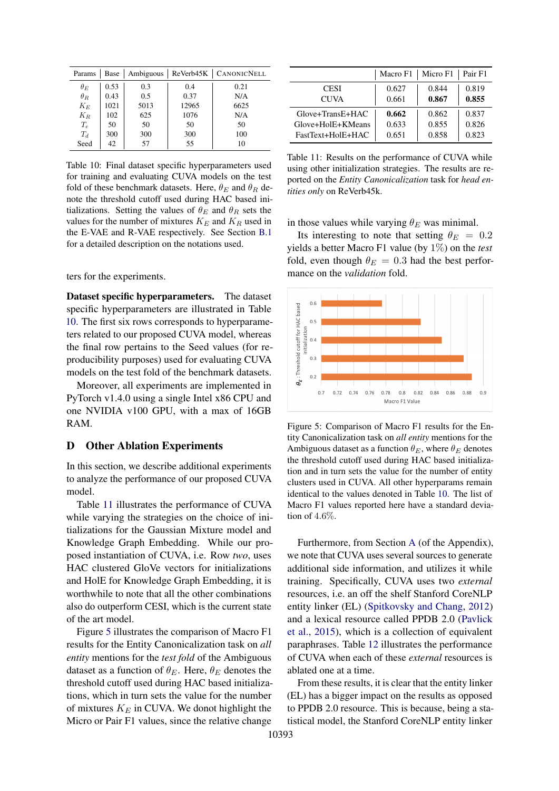<span id="page-14-1"></span>

| Params     | Base | Ambiguous |       | ReVerb45K   CANONICNELL |
|------------|------|-----------|-------|-------------------------|
| $\theta_E$ | 0.53 | 0.3       | 0.4   | 0.21                    |
| $\theta_R$ | 0.43 | 0.5       | 0.37  | N/A                     |
| $K_E$      | 1021 | 5013      | 12965 | 6625                    |
| $K_R$      | 102  | 625       | 1076  | N/A                     |
| $T_e$      | 50   | 50        | 50    | 50                      |
| $T_d$      | 300  | 300       | 300   | 100                     |
| Seed       | 42   | 57        | 55    | 10                      |

Table 10: Final dataset specific hyperparameters used for training and evaluating CUVA models on the test fold of these benchmark datasets. Here,  $\theta_E$  and  $\theta_R$  denote the threshold cutoff used during HAC based initializations. Setting the values of  $\theta_E$  and  $\theta_R$  sets the values for the number of mixtures  $K_E$  and  $K_R$  used in the E-VAE and R-VAE respectively. See Section [B.1](#page-11-2) for a detailed description on the notations used.

ters for the experiments.

Dataset specific hyperparameters. The dataset specific hyperparameters are illustrated in Table [10.](#page-14-1) The first six rows corresponds to hyperparameters related to our proposed CUVA model, whereas the final row pertains to the Seed values (for reproducibility purposes) used for evaluating CUVA models on the test fold of the benchmark datasets.

Moreover, all experiments are implemented in PyTorch v1.4.0 using a single Intel x86 CPU and one NVIDIA v100 GPU, with a max of 16GB RAM.

### <span id="page-14-0"></span>D Other Ablation Experiments

In this section, we describe additional experiments to analyze the performance of our proposed CUVA model.

Table [11](#page-14-2) illustrates the performance of CUVA while varying the strategies on the choice of initializations for the Gaussian Mixture model and Knowledge Graph Embedding. While our proposed instantiation of CUVA, i.e. Row *two*, uses HAC clustered GloVe vectors for initializations and HolE for Knowledge Graph Embedding, it is worthwhile to note that all the other combinations also do outperform CESI, which is the current state of the art model.

Figure [5](#page-14-3) illustrates the comparison of Macro F1 results for the Entity Canonicalization task on *all entity* mentions for the *test fold* of the Ambiguous dataset as a function of  $\theta_E$ . Here,  $\theta_E$  denotes the threshold cutoff used during HAC based initializations, which in turn sets the value for the number of mixtures  $K_E$  in CUVA. We donot highlight the Micro or Pair F1 values, since the relative change

<span id="page-14-2"></span>

|                    | Macro F1 | Micro F1 | Pair F1 |
|--------------------|----------|----------|---------|
| <b>CESI</b>        | 0.627    | 0.844    | 0.819   |
| <b>CUVA</b>        | 0.661    | 0.867    | 0.855   |
| $Glove+TransE+HAC$ | 0.662    | 0.862    | 0.837   |
| Glove+HolE+KMeans  | 0.633    | 0.855    | 0.826   |
| FastText+HolE+HAC  | 0.651    | 0.858    | 0.823   |

Table 11: Results on the performance of CUVA while using other initialization strategies. The results are reported on the *Entity Canonicalization* task for *head entities only* on ReVerb45k.

in those values while varying  $\theta_E$  was minimal.

Its interesting to note that setting  $\theta_E = 0.2$ yields a better Macro F1 value (by 1%) on the *test* fold, even though  $\theta_E = 0.3$  had the best performance on the *validation* fold.

<span id="page-14-3"></span>

Figure 5: Comparison of Macro F1 results for the Entity Canonicalization task on *all entity* mentions for the Ambiguous dataset as a function  $\theta_E$ , where  $\theta_E$  denotes the threshold cutoff used during HAC based initialization and in turn sets the value for the number of entity clusters used in CUVA. All other hyperparams remain identical to the values denoted in Table [10.](#page-14-1) The list of Macro F1 values reported here have a standard deviation of 4.6%.

Furthermore, from Section [A](#page-11-0) (of the Appendix), we note that CUVA uses several sources to generate additional side information, and utilizes it while training. Specifically, CUVA uses two *external* resources, i.e. an off the shelf Stanford CoreNLP entity linker (EL) [\(Spitkovsky and Chang,](#page-9-11) [2012\)](#page-9-11) and a lexical resource called PPDB 2.0 [\(Pavlick](#page-9-12) [et al.,](#page-9-12) [2015\)](#page-9-12), which is a collection of equivalent paraphrases. Table [12](#page-15-0) illustrates the performance of CUVA when each of these *external* resources is ablated one at a time.

From these results, it is clear that the entity linker (EL) has a bigger impact on the results as opposed to PPDB 2.0 resource. This is because, being a statistical model, the Stanford CoreNLP entity linker